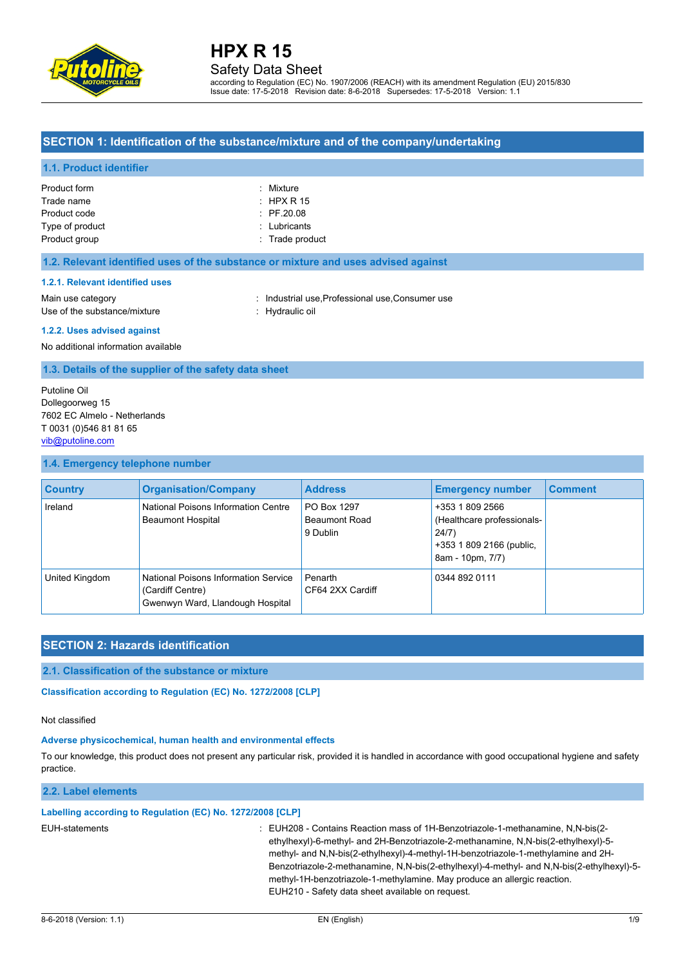

# Safety Data Sheet

according to Regulation (EC) No. 1907/2006 (REACH) with its amendment Regulation (EU) 2015/830 Issue date: 17-5-2018 Revision date: 8-6-2018 Supersedes: 17-5-2018 Version: 1.1

# **SECTION 1: Identification of the substance/mixture and of the company/undertaking**

### **1.1. Product identifier**

| Product form    | : Mixture             |
|-----------------|-----------------------|
| Trade name      | $\pm$ HPX R 15        |
| Product code    | $\therefore$ PF.20.08 |
| Type of product | : Lubricants          |
| Product group   | $:$ Trade product     |
|                 |                       |

#### **1.2. Relevant identified uses of the substance or mixture and uses advised against**

#### **1.2.1. Relevant identified uses**

Main use category **industrial use, Professional use, Consumer use** Use of the substance/mixture : Hydraulic oil

#### **1.2.2. Uses advised against**

No additional information available

**1.3. Details of the supplier of the safety data sheet**

Putoline Oil Dollegoorweg 15 7602 EC Almelo - Netherlands T 0031 (0)546 81 81 65 [vib@putoline.com](mailto:vib@putoline.com)

### **1.4. Emergency telephone number**

| <b>Country</b> | <b>Organisation/Company</b>                                                                  | <b>Address</b>                           | <b>Emergency number</b>                                                                                | <b>Comment</b> |
|----------------|----------------------------------------------------------------------------------------------|------------------------------------------|--------------------------------------------------------------------------------------------------------|----------------|
| Ireland        | National Poisons Information Centre<br><b>Beaumont Hospital</b>                              | PO Box 1297<br>Beaumont Road<br>9 Dublin | +353 1 809 2566<br>(Healthcare professionals-<br>24/7)<br>+353 1 809 2166 (public,<br>8am - 10pm, 7/7) |                |
| United Kingdom | National Poisons Information Service<br>(Cardiff Centre)<br>Gwenwyn Ward, Llandough Hospital | Penarth<br>CF64 2XX Cardiff              | 0344 892 0111                                                                                          |                |

# **SECTION 2: Hazards identification**

### **2.1. Classification of the substance or mixture**

Classification according to Regulation (EC) No. 1272/2008 [CLP]

#### Not classified

#### **Adverse physicochemical, human health and environmental effects**

To our knowledge, this product does not present any particular risk, provided it is handled in accordance with good occupational hygiene and safety practice.

#### **2.2. Label elements**

#### **Labelling according to Regulation (EC) No. 1272/2008 [CLP]**

EUH-statements : EUH208 - Contains Reaction mass of 1H-Benzotriazole-1-methanamine, N,N-bis(2 ethylhexyl)-6-methyl- and 2H-Benzotriazole-2-methanamine, N,N-bis(2-ethylhexyl)-5 methyl- and N,N-bis(2-ethylhexyl)-4-methyl-1H-benzotriazole-1-methylamine and 2H-Benzotriazole-2-methanamine, N,N-bis(2-ethylhexyl)-4-methyl- and N,N-bis(2-ethylhexyl)-5 methyl-1H-benzotriazole-1-methylamine. May produce an allergic reaction. EUH210 - Safety data sheet available on request.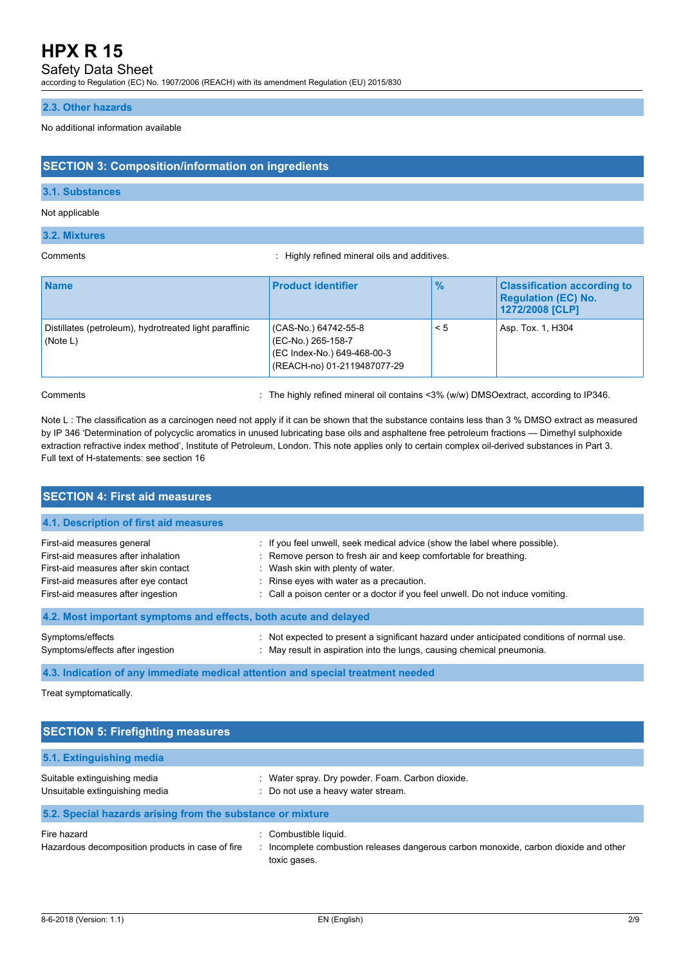Safety Data Sheet

according to Regulation (EC) No. 1907/2006 (REACH) with its amendment Regulation (EU) 2015/830

### **2.3. Other hazards**

#### No additional information available

# **SECTION 3: Composition/information on ingredients**

# **3.1. Substances**

### Not applicable

#### **3.2. Mixtures**

Comments : Highly refined mineral oils and additives.

| <b>Name</b>                                                        | <b>Product identifier</b>                                                                                | $\frac{9}{6}$ | <b>Classification according to</b><br><b>Regulation (EC) No.</b><br>1272/2008 [CLP] |
|--------------------------------------------------------------------|----------------------------------------------------------------------------------------------------------|---------------|-------------------------------------------------------------------------------------|
| Distillates (petroleum), hydrotreated light paraffinic<br>(Note L) | (CAS-No.) 64742-55-8<br>(EC-No.) 265-158-7<br>(EC Index-No.) 649-468-00-3<br>(REACH-no) 01-2119487077-29 | $\leq 5$      | Asp. Tox. 1, H304                                                                   |

Comments : The highly refined mineral oil contains <3% (w/w) DMSOextract, according to IP346.

Note L : The classification as a carcinogen need not apply if it can be shown that the substance contains less than 3 % DMSO extract as measured by IP 346 'Determination of polycyclic aromatics in unused lubricating base oils and asphaltene free petroleum fractions — Dimethyl sulphoxide extraction refractive index method', Institute of Petroleum, London. This note applies only to certain complex oil-derived substances in Part 3. Full text of H-statements: see section 16

| <b>SECTION 4: First aid measures</b>                                                                                                                                                     |                                                                                                                                                                                                                                                                                                                   |
|------------------------------------------------------------------------------------------------------------------------------------------------------------------------------------------|-------------------------------------------------------------------------------------------------------------------------------------------------------------------------------------------------------------------------------------------------------------------------------------------------------------------|
| 4.1. Description of first aid measures                                                                                                                                                   |                                                                                                                                                                                                                                                                                                                   |
| First-aid measures general<br>First-aid measures after inhalation<br>First-aid measures after skin contact<br>First-aid measures after eye contact<br>First-aid measures after ingestion | : If you feel unwell, seek medical advice (show the label where possible).<br>: Remove person to fresh air and keep comfortable for breathing.<br>: Wash skin with plenty of water.<br>: Rinse eyes with water as a precaution.<br>: Call a poison center or a doctor if you feel unwell. Do not induce vomiting. |
| 4.2. Most important symptoms and effects, both acute and delayed                                                                                                                         |                                                                                                                                                                                                                                                                                                                   |
| Symptoms/effects<br>Symptoms/effects after ingestion                                                                                                                                     | : Not expected to present a significant hazard under anticipated conditions of normal use.<br>: May result in aspiration into the lungs, causing chemical pneumonia.                                                                                                                                              |

**4.3. Indication of any immediate medical attention and special treatment needed**

Treat symptomatically.

| <b>SECTION 5: Firefighting measures</b>                         |                                                                                                             |
|-----------------------------------------------------------------|-------------------------------------------------------------------------------------------------------------|
| 5.1. Extinguishing media                                        |                                                                                                             |
| Suitable extinguishing media<br>Unsuitable extinguishing media  | : Water spray. Dry powder. Foam. Carbon dioxide.<br>: Do not use a heavy water stream.                      |
| 5.2. Special hazards arising from the substance or mixture      |                                                                                                             |
| Fire hazard<br>Hazardous decomposition products in case of fire | : Combustible liquid.<br>Incomplete combustion releases dangerous carbon monoxide, carbon dioxide and other |

toxic gases.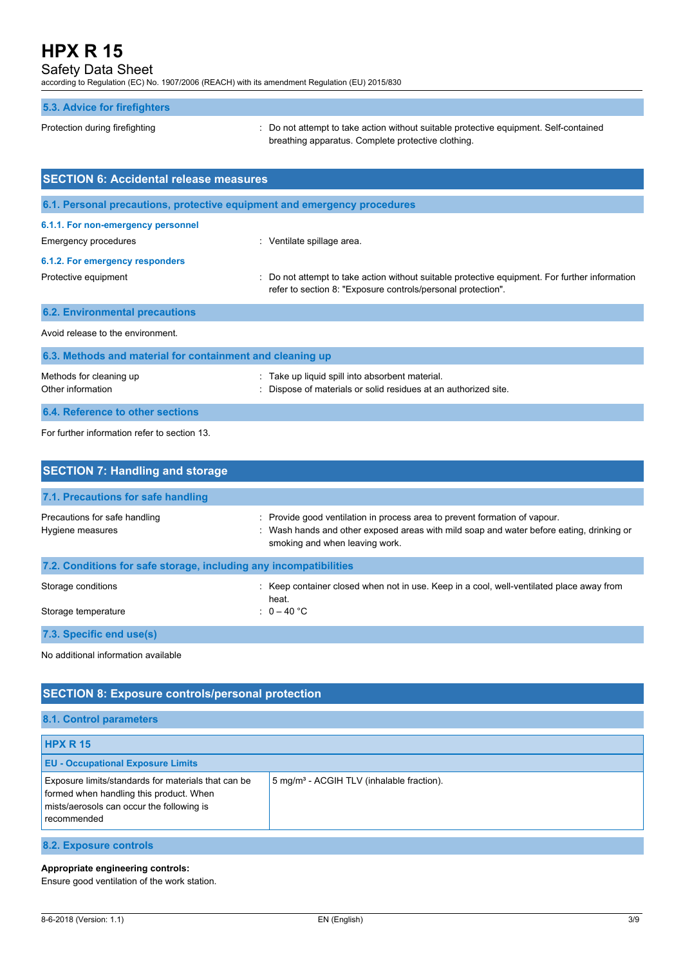# Safety Data Sheet

according to Regulation (EC) No. 1907/2006 (REACH) with its amendment Regulation (EU) 2015/830

# **5.3. Advice for firefighters**

Protection during firefighting  $\cdot$  Do not attempt to take action without suitable protective equipment. Self-contained breathing apparatus. Complete protective clothing.

| <b>SECTION 6: Accidental release measures</b>             |                                                                                                                                                                |  |  |  |  |
|-----------------------------------------------------------|----------------------------------------------------------------------------------------------------------------------------------------------------------------|--|--|--|--|
|                                                           | 6.1. Personal precautions, protective equipment and emergency procedures                                                                                       |  |  |  |  |
| 6.1.1. For non-emergency personnel                        |                                                                                                                                                                |  |  |  |  |
| Emergency procedures                                      | : Ventilate spillage area.                                                                                                                                     |  |  |  |  |
| 6.1.2. For emergency responders                           |                                                                                                                                                                |  |  |  |  |
| Protective equipment                                      | : Do not attempt to take action without suitable protective equipment. For further information<br>refer to section 8: "Exposure controls/personal protection". |  |  |  |  |
| <b>6.2. Environmental precautions</b>                     |                                                                                                                                                                |  |  |  |  |
| Avoid release to the environment.                         |                                                                                                                                                                |  |  |  |  |
| 6.3. Methods and material for containment and cleaning up |                                                                                                                                                                |  |  |  |  |

| Methods for cleaning up<br>Other information | : Take up liquid spill into absorbent material.<br>: Dispose of materials or solid residues at an authorized site. |
|----------------------------------------------|--------------------------------------------------------------------------------------------------------------------|
| 6.4. Reference to other sections             |                                                                                                                    |

For further information refer to section 13.

| <b>SECTION 7: Handling and storage</b>                            |                                                                                                                                                                                                          |  |  |  |
|-------------------------------------------------------------------|----------------------------------------------------------------------------------------------------------------------------------------------------------------------------------------------------------|--|--|--|
| 7.1. Precautions for safe handling                                |                                                                                                                                                                                                          |  |  |  |
| Precautions for safe handling<br>Hygiene measures                 | : Provide good ventilation in process area to prevent formation of vapour.<br>: Wash hands and other exposed areas with mild soap and water before eating, drinking or<br>smoking and when leaving work. |  |  |  |
| 7.2. Conditions for safe storage, including any incompatibilities |                                                                                                                                                                                                          |  |  |  |
| Storage conditions                                                | : Keep container closed when not in use. Keep in a cool, well-ventilated place away from<br>heat.                                                                                                        |  |  |  |
| Storage temperature                                               | : $0 - 40 °C$                                                                                                                                                                                            |  |  |  |
| 7.3. Specific end use(s)                                          |                                                                                                                                                                                                          |  |  |  |

No additional information available

| <b>SECTION 8: Exposure controls/personal protection</b>                                                                                                    |                                                       |  |  |  |
|------------------------------------------------------------------------------------------------------------------------------------------------------------|-------------------------------------------------------|--|--|--|
| 8.1. Control parameters                                                                                                                                    |                                                       |  |  |  |
| <b>HPX R 15</b>                                                                                                                                            |                                                       |  |  |  |
| <b>EU - Occupational Exposure Limits</b>                                                                                                                   |                                                       |  |  |  |
| Exposure limits/standards for materials that can be<br>formed when handling this product. When<br>mists/aerosols can occur the following is<br>recommended | 5 mg/m <sup>3</sup> - ACGIH TLV (inhalable fraction). |  |  |  |
| 8.2. Exposure controls                                                                                                                                     |                                                       |  |  |  |

**Appropriate engineering controls:**

Ensure good ventilation of the work station.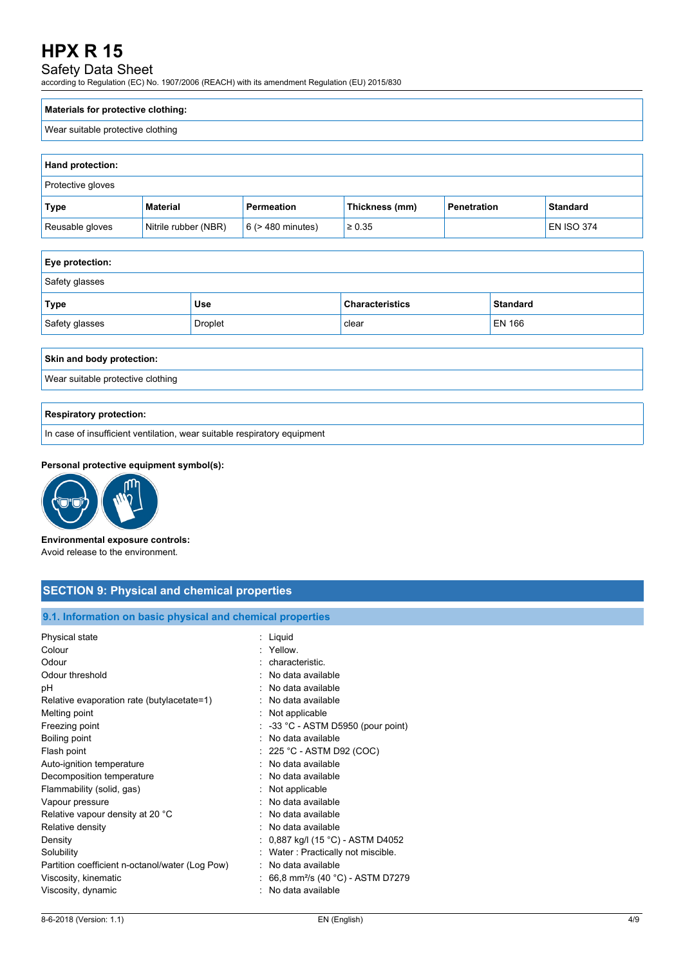# Safety Data Sheet

according to Regulation (EC) No. 1907/2006 (REACH) with its amendment Regulation (EU) 2015/830

### **Materials for protective clothing:**

### Wear suitable protective clothing

| Hand protection:  |                      |                        |                |                    |                   |
|-------------------|----------------------|------------------------|----------------|--------------------|-------------------|
| Protective gloves |                      |                        |                |                    |                   |
| Type              | <b>Material</b>      | Permeation             | Thickness (mm) | <b>Penetration</b> | <b>Standard</b>   |
| Reusable gloves   | Nitrile rubber (NBR) | $6$ ( $>$ 480 minutes) | $\geq 0.35$    |                    | <b>EN ISO 374</b> |

| Eye protection:           |                |                        |                 |  |
|---------------------------|----------------|------------------------|-----------------|--|
| Safety glasses            |                |                        |                 |  |
| Type                      | <b>Use</b>     | <b>Characteristics</b> | <b>Standard</b> |  |
| Safety glasses            | <b>Droplet</b> | clear                  | <b>EN 166</b>   |  |
|                           |                |                        |                 |  |
| Skin and body protection: |                |                        |                 |  |

Wear suitable protective clothing

#### **Respiratory protection:**

In case of insufficient ventilation, wear suitable respiratory equipment

#### **Personal protective equipment symbol(s):**



**Environmental exposure controls:** Avoid release to the environment.

| <b>SECTION 9: Physical and chemical properties</b> |  |
|----------------------------------------------------|--|
|                                                    |  |

# **9.1. Information on basic physical and chemical properties**

| Physical state                                  | : Liquid                                      |
|-------------------------------------------------|-----------------------------------------------|
| Colour                                          | · Yellow                                      |
| Odour                                           | : characteristic.                             |
| Odour threshold                                 | : No data available                           |
| рH                                              | No data available                             |
| Relative evaporation rate (butylacetate=1)      | : No data available                           |
| Melting point                                   | : Not applicable                              |
| Freezing point                                  | $\therefore$ -33 °C - ASTM D5950 (pour point) |
| Boiling point                                   | No data available                             |
| Flash point                                     | $: 225 °C$ - ASTM D92 (COC)                   |
| Auto-ignition temperature                       | : No data available                           |
| Decomposition temperature                       | : No data available                           |
| Flammability (solid, gas)                       | : Not applicable                              |
| Vapour pressure                                 | : No data available                           |
| Relative vapour density at 20 °C                | : No data available                           |
| Relative density                                | : No data available                           |
| Density                                         | : 0,887 kg/l (15 °C) - ASTM D4052             |
| Solubility                                      | : Water: Practically not miscible.            |
| Partition coefficient n-octanol/water (Log Pow) | : No data available                           |
| Viscosity, kinematic                            | 66,8 mm <sup>2</sup> /s (40 °C) - ASTM D7279  |
| Viscosity, dynamic                              | No data available                             |
|                                                 |                                               |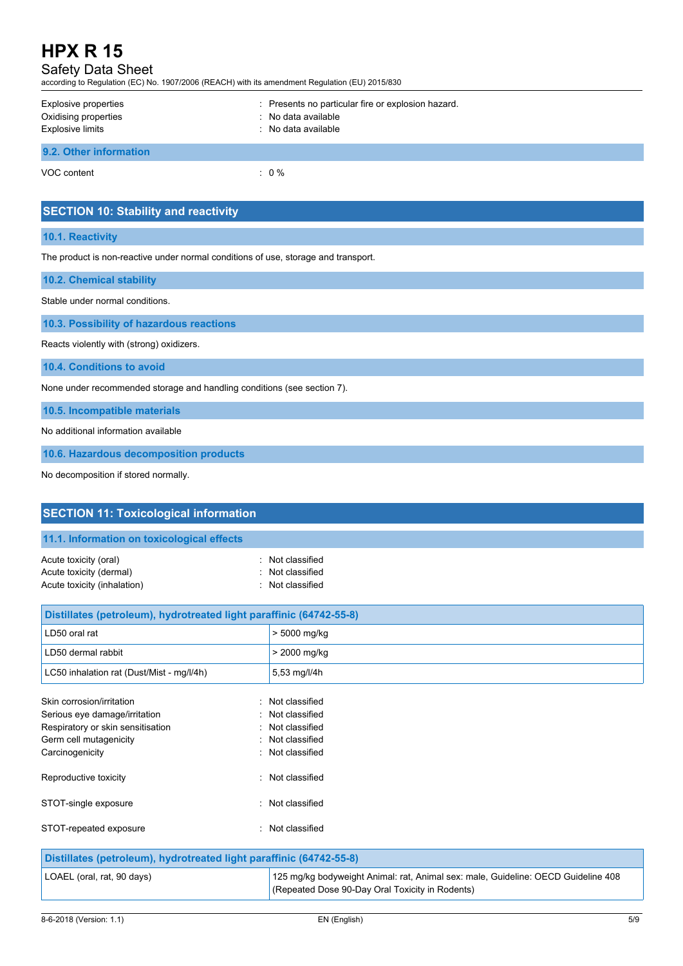Safety Data Sheet

according to Regulation (EC) No. 1907/2006 (REACH) with its amendment Regulation (EU) 2015/830

| Explosive properties<br>Oxidising properties<br><b>Explosive limits</b> | : Presents no particular fire or explosion hazard.<br>: No data available<br>: No data available |
|-------------------------------------------------------------------------|--------------------------------------------------------------------------------------------------|
| 9.2. Other information                                                  |                                                                                                  |
| VOC content                                                             | $\therefore$ 0 %                                                                                 |

# **10.1. Reactivity**

The product is non-reactive under normal conditions of use, storage and transport.

|  |  |  |  | <b>10.2. Chemical stability</b> |
|--|--|--|--|---------------------------------|
|--|--|--|--|---------------------------------|

Stable under normal conditions.

**10.3. Possibility of hazardous reactions**

Reacts violently with (strong) oxidizers.

**10.4. Conditions to avoid**

None under recommended storage and handling conditions (see section 7).

**10.5. Incompatible materials**

No additional information available

**10.6. Hazardous decomposition products**

No decomposition if stored normally.

| <b>SECTION 11: Toxicological information</b>                                                                                                 |                                                                                                                                      |
|----------------------------------------------------------------------------------------------------------------------------------------------|--------------------------------------------------------------------------------------------------------------------------------------|
| 11.1. Information on toxicological effects                                                                                                   |                                                                                                                                      |
| Acute toxicity (oral)<br>Acute toxicity (dermal)<br>Acute toxicity (inhalation)                                                              | : Not classified<br>Not classified<br>: Not classified                                                                               |
| Distillates (petroleum), hydrotreated light paraffinic (64742-55-8)                                                                          |                                                                                                                                      |
| LD50 oral rat                                                                                                                                | > 5000 mg/kg                                                                                                                         |
| LD50 dermal rabbit                                                                                                                           | > 2000 mg/kg                                                                                                                         |
| LC50 inhalation rat (Dust/Mist - mg/l/4h)                                                                                                    | 5,53 mg/l/4h                                                                                                                         |
| Skin corrosion/irritation<br>Serious eye damage/irritation<br>Respiratory or skin sensitisation<br>Germ cell mutagenicity<br>Carcinogenicity | : Not classified<br>Not classified<br>Not classified<br>: Not classified<br>: Not classified                                         |
| Reproductive toxicity                                                                                                                        | Not classified                                                                                                                       |
| STOT-single exposure                                                                                                                         | : Not classified                                                                                                                     |
| STOT-repeated exposure<br>۰,                                                                                                                 | Not classified                                                                                                                       |
| Distillates (petroleum), hydrotreated light paraffinic (64742-55-8)                                                                          |                                                                                                                                      |
| LOAEL (oral, rat, 90 days)                                                                                                                   | 125 mg/kg bodyweight Animal: rat, Animal sex: male, Guideline: OECD Guideline 408<br>(Repeated Dose 90-Day Oral Toxicity in Rodents) |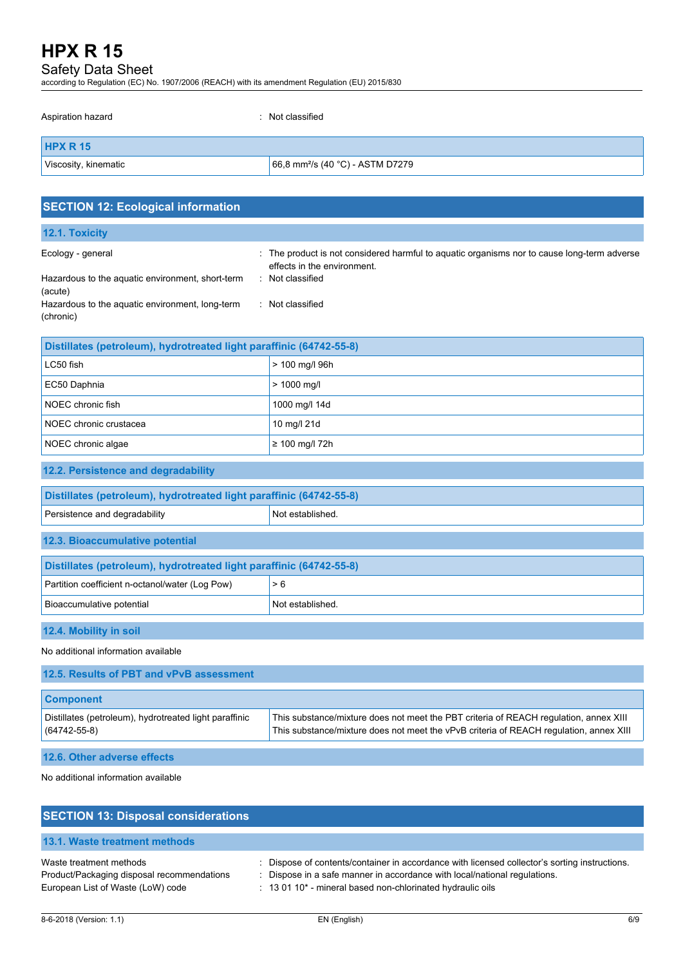Safety Data Sheet

| according to Regulation (EC) No. 1907/2006 (REACH) with its amendment Regulation (EU) 2015/830 |                                                                                                                                              |  |
|------------------------------------------------------------------------------------------------|----------------------------------------------------------------------------------------------------------------------------------------------|--|
| Aspiration hazard                                                                              | Not classified                                                                                                                               |  |
| <b>HPX R 15</b>                                                                                |                                                                                                                                              |  |
| Viscosity, kinematic                                                                           | 66,8 mm <sup>2</sup> /s (40 °C) - ASTM D7279                                                                                                 |  |
| <b>SECTION 12: Ecological information</b>                                                      |                                                                                                                                              |  |
| 12.1. Toxicity                                                                                 |                                                                                                                                              |  |
| Ecology - general<br>Hazardous to the aquatic environment, short-term                          | : The product is not considered harmful to aquatic organisms nor to cause long-term adverse<br>effects in the environment.<br>Not classified |  |
| (acute)<br>Hazardous to the aquatic environment, long-term<br>(chronic)                        | : Not classified                                                                                                                             |  |
| Distillates (petroleum), hydrotreated light paraffinic (64742-55-8)                            |                                                                                                                                              |  |
| LC50 fish                                                                                      | > 100 mg/l 96h                                                                                                                               |  |
| EC50 Daphnia                                                                                   | > 1000 mg/l                                                                                                                                  |  |
| NOEC chronic fish                                                                              | 1000 mg/l 14d                                                                                                                                |  |
| NOEC chronic crustacea                                                                         | 10 mg/l 21d                                                                                                                                  |  |
| NOEC chronic algae                                                                             | ≥ 100 mg/l 72h                                                                                                                               |  |
| 12.2. Persistence and degradability                                                            |                                                                                                                                              |  |
| Distillates (petroleum), hydrotreated light paraffinic (64742-55-8)                            |                                                                                                                                              |  |
| Persistence and degradability                                                                  | Not established.                                                                                                                             |  |
| 12.3. Bioaccumulative potential                                                                |                                                                                                                                              |  |
| Distillates (petroleum), hydrotreated light paraffinic (64742-55-8)                            |                                                                                                                                              |  |

| <b>12.4. Mobility in soil</b> |  |  |
|-------------------------------|--|--|
|                               |  |  |

No additional information available

Partition coefficient n-octanol/water (Log Pow)  $\vert$  > 6

Bioaccumulative potential Not established.

| <b>Component</b><br>Distillates (petroleum), hydrotreated light paraffinic<br>This substance/mixture does not meet the PBT criteria of REACH regulation, annex XIII<br>This substance/mixture does not meet the vPvB criteria of REACH requlation, annex XIII<br>$(64742 - 55 - 8)$ | 12.5. Results of PBT and vPvB assessment |  |
|-------------------------------------------------------------------------------------------------------------------------------------------------------------------------------------------------------------------------------------------------------------------------------------|------------------------------------------|--|
|                                                                                                                                                                                                                                                                                     |                                          |  |
|                                                                                                                                                                                                                                                                                     |                                          |  |

**12.6. Other adverse effects**

No additional information available

| <b>SECTION 13: Disposal considerations</b>                            |                                                                                                                                                                            |
|-----------------------------------------------------------------------|----------------------------------------------------------------------------------------------------------------------------------------------------------------------------|
| 13.1. Waste treatment methods                                         |                                                                                                                                                                            |
| Waste treatment methods<br>Product/Packaging disposal recommendations | : Dispose of contents/container in accordance with licensed collector's sorting instructions.<br>: Dispose in a safe manner in accordance with local/national regulations. |
| European List of Waste (LoW) code                                     | : 13 01 10* - mineral based non-chlorinated hydraulic oils                                                                                                                 |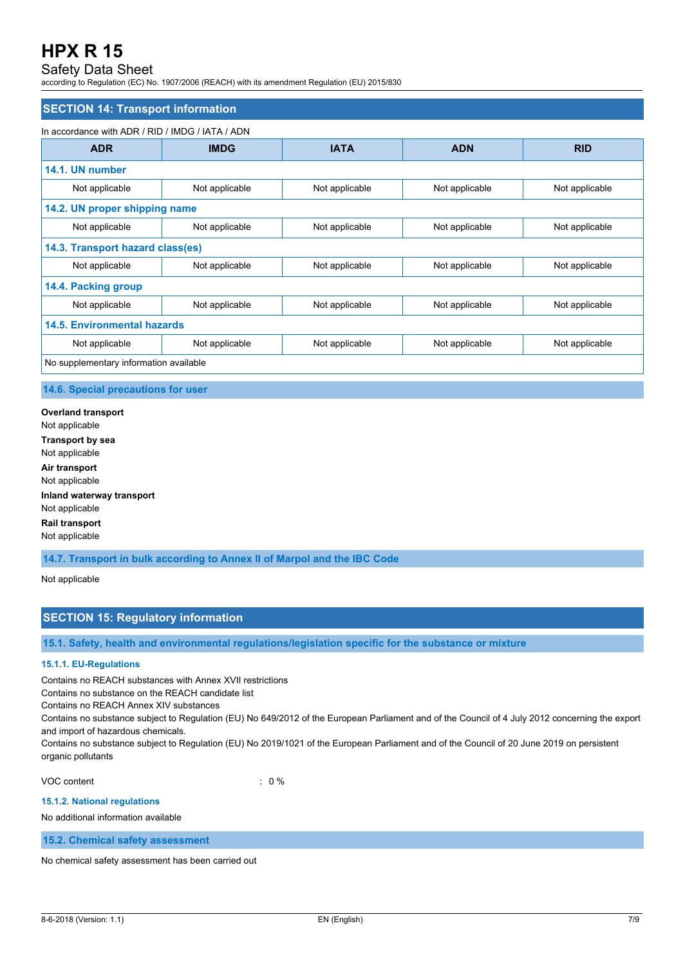# Safety Data Sheet

according to Regulation (EC) No. 1907/2006 (REACH) with its amendment Regulation (EU) 2015/830

### **SECTION 14: Transport information**

#### In accordance with ADR / RID / IMDG / IATA / ADN

| <b>ADR</b>                             | <b>IMDG</b>                   | <b>IATA</b>    | <b>ADN</b>     | <b>RID</b>     |  |
|----------------------------------------|-------------------------------|----------------|----------------|----------------|--|
| 14.1. UN number                        |                               |                |                |                |  |
| Not applicable                         | Not applicable                | Not applicable | Not applicable | Not applicable |  |
|                                        | 14.2. UN proper shipping name |                |                |                |  |
| Not applicable                         | Not applicable                | Not applicable | Not applicable | Not applicable |  |
| 14.3. Transport hazard class(es)       |                               |                |                |                |  |
| Not applicable                         | Not applicable                | Not applicable | Not applicable | Not applicable |  |
| 14.4. Packing group                    |                               |                |                |                |  |
| Not applicable                         | Not applicable                | Not applicable | Not applicable | Not applicable |  |
| <b>14.5. Environmental hazards</b>     |                               |                |                |                |  |
| Not applicable                         | Not applicable                | Not applicable | Not applicable | Not applicable |  |
| No supplementary information available |                               |                |                |                |  |

#### **14.6. Special precautions for user**

**Overland transport** Not applicable **Transport by sea** Not applicable **Air transport** Not applicable **Inland waterway transport** Not applicable **Rail transport** Not applicable

**14.7. Transport in bulk according to Annex II of Marpol and the IBC Code**

Not applicable

# **SECTION 15: Regulatory information**

**15.1. Safety, health and environmental regulations/legislation specific for the substance or mixture**

# **15.1.1. EU-Regulations**

Contains no REACH substances with Annex XVII restrictions

Contains no substance on the REACH candidate list

Contains no REACH Annex XIV substances

Contains no substance subject to Regulation (EU) No 649/2012 of the European Parliament and of the Council of 4 July 2012 concerning the export and import of hazardous chemicals.

Contains no substance subject to Regulation (EU) No 2019/1021 of the European Parliament and of the Council of 20 June 2019 on persistent organic pollutants

VOC content  $\qquad \qquad : \qquad 0 \%$ 

#### **15.1.2. National regulations**

No additional information available

**15.2. Chemical safety assessment**

No chemical safety assessment has been carried out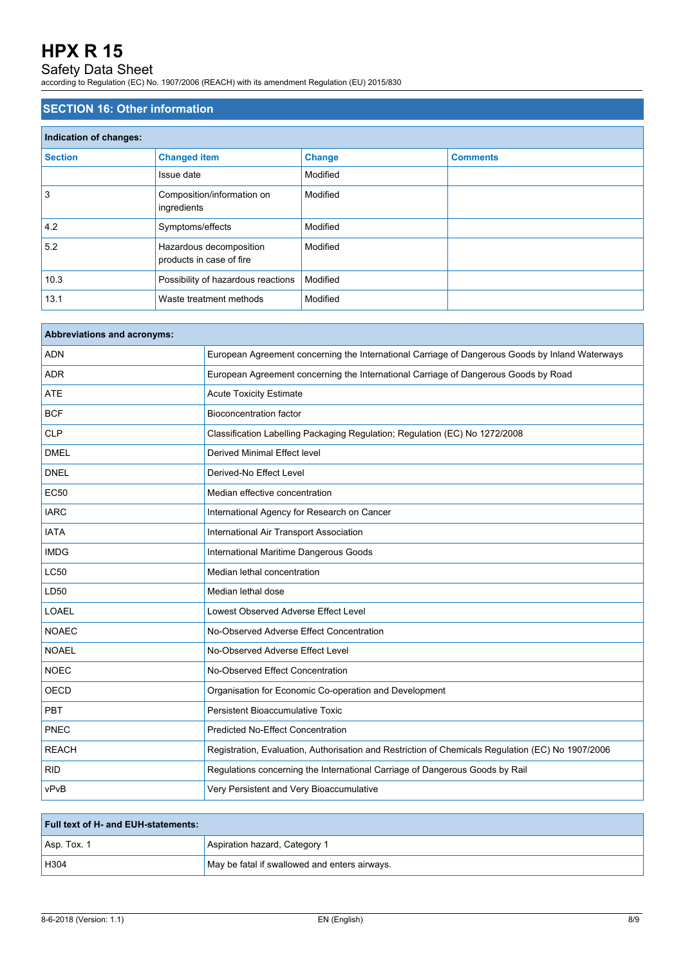# Safety Data Sheet

according to Regulation (EC) No. 1907/2006 (REACH) with its amendment Regulation (EU) 2015/830

# **SECTION 16: Other information**

| Indication of changes: |                                                     |               |                 |
|------------------------|-----------------------------------------------------|---------------|-----------------|
| <b>Section</b>         | <b>Changed item</b>                                 | <b>Change</b> | <b>Comments</b> |
|                        | Issue date                                          | Modified      |                 |
| 3                      | Composition/information on<br>ingredients           | Modified      |                 |
| 4.2                    | Symptoms/effects                                    | Modified      |                 |
| 5.2                    | Hazardous decomposition<br>products in case of fire | Modified      |                 |
| 10.3                   | Possibility of hazardous reactions                  | Modified      |                 |
| 13.1                   | Waste treatment methods                             | Modified      |                 |

| Abbreviations and acronyms: |                                                                                                   |
|-----------------------------|---------------------------------------------------------------------------------------------------|
| <b>ADN</b>                  | European Agreement concerning the International Carriage of Dangerous Goods by Inland Waterways   |
| <b>ADR</b>                  | European Agreement concerning the International Carriage of Dangerous Goods by Road               |
| <b>ATE</b>                  | <b>Acute Toxicity Estimate</b>                                                                    |
| <b>BCF</b>                  | <b>Bioconcentration factor</b>                                                                    |
| <b>CLP</b>                  | Classification Labelling Packaging Regulation; Regulation (EC) No 1272/2008                       |
| <b>DMEL</b>                 | Derived Minimal Effect level                                                                      |
| <b>DNEL</b>                 | Derived-No Effect Level                                                                           |
| <b>EC50</b>                 | Median effective concentration                                                                    |
| <b>IARC</b>                 | International Agency for Research on Cancer                                                       |
| <b>IATA</b>                 | International Air Transport Association                                                           |
| <b>IMDG</b>                 | International Maritime Dangerous Goods                                                            |
| <b>LC50</b>                 | Median lethal concentration                                                                       |
| LD50                        | Median lethal dose                                                                                |
| <b>LOAEL</b>                | Lowest Observed Adverse Effect Level                                                              |
| <b>NOAEC</b>                | No-Observed Adverse Effect Concentration                                                          |
| <b>NOAEL</b>                | No-Observed Adverse Effect Level                                                                  |
| <b>NOEC</b>                 | No-Observed Effect Concentration                                                                  |
| <b>OECD</b>                 | Organisation for Economic Co-operation and Development                                            |
| PBT                         | Persistent Bioaccumulative Toxic                                                                  |
| PNEC                        | <b>Predicted No-Effect Concentration</b>                                                          |
| <b>REACH</b>                | Registration, Evaluation, Authorisation and Restriction of Chemicals Regulation (EC) No 1907/2006 |
| <b>RID</b>                  | Regulations concerning the International Carriage of Dangerous Goods by Rail                      |
| vPvB                        | Very Persistent and Very Bioaccumulative                                                          |

| <b>Full text of H- and EUH-statements:</b> |                                               |
|--------------------------------------------|-----------------------------------------------|
| $ $ Asp. Tox. 1                            | Aspiration hazard, Category 1                 |
| H304                                       | May be fatal if swallowed and enters airways. |